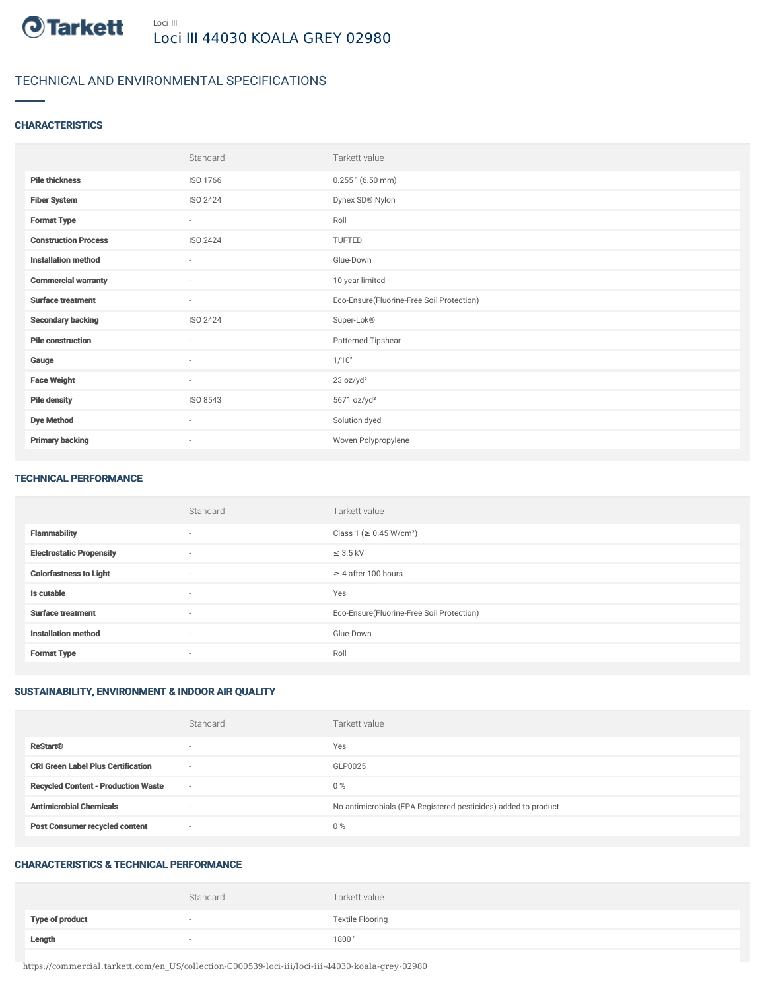

# TECHNICAL AND ENVIRONMENTAL SPECIFICATIONS

# **CHARACTERISTICS**

|                             | Standard                 | Tarkett value                             |
|-----------------------------|--------------------------|-------------------------------------------|
| <b>Pile thickness</b>       | ISO 1766                 | $0.255$ " (6.50 mm)                       |
| <b>Fiber System</b>         | <b>ISO 2424</b>          | Dynex SD® Nylon                           |
| <b>Format Type</b>          | $\sim$                   | Roll                                      |
| <b>Construction Process</b> | <b>ISO 2424</b>          | TUFTED                                    |
| <b>Installation method</b>  | ٠                        | Glue-Down                                 |
| <b>Commercial warranty</b>  | $\sim$                   | 10 year limited                           |
| <b>Surface treatment</b>    | $\sim$                   | Eco-Ensure(Fluorine-Free Soil Protection) |
| <b>Secondary backing</b>    | ISO 2424                 | Super-Lok®                                |
| <b>Pile construction</b>    | $\sim$                   | Patterned Tipshear                        |
| Gauge                       | $\sim$                   | 1/10"                                     |
| <b>Face Weight</b>          | $\sim$                   | 23 oz/yd <sup>2</sup>                     |
| <b>Pile density</b>         | ISO 8543                 | 5671 oz/yd <sup>3</sup>                   |
| <b>Dye Method</b>           | $\sim$                   | Solution dyed                             |
| <b>Primary backing</b>      | $\overline{\phantom{a}}$ | Woven Polypropylene                       |

#### TECHNICAL PERFORMANCE

|                                 | Standard | Tarkett value                             |
|---------------------------------|----------|-------------------------------------------|
| <b>Flammability</b>             | $\sim$   | Class 1 (≥ 0.45 W/cm <sup>2</sup> )       |
| <b>Electrostatic Propensity</b> | $\sim$   | $\leq$ 3.5 kV                             |
| <b>Colorfastness to Light</b>   | $\sim$   | $\geq$ 4 after 100 hours                  |
| Is cutable                      | $\sim$   | Yes                                       |
| <b>Surface treatment</b>        | $\sim$   | Eco-Ensure(Fluorine-Free Soil Protection) |
| <b>Installation method</b>      | $\sim$   | Glue-Down                                 |
| <b>Format Type</b>              | $\sim$   | Roll                                      |

# SUSTAINABILITY, ENVIRONMENT & INDOOR AIR QUALITY

|                                            | Standard                 | Tarkett value                                                  |
|--------------------------------------------|--------------------------|----------------------------------------------------------------|
| <b>ReStart®</b>                            | $\overline{\phantom{a}}$ | Yes                                                            |
| <b>CRI Green Label Plus Certification</b>  | $\overline{\phantom{a}}$ | GLP0025                                                        |
| <b>Recycled Content - Production Waste</b> | $\overline{\phantom{a}}$ | $0\%$                                                          |
| <b>Antimicrobial Chemicals</b>             | <b>1999</b>              | No antimicrobials (EPA Registered pesticides) added to product |
| <b>Post Consumer recycled content</b>      | $\overline{\phantom{a}}$ | $0\%$                                                          |

#### CHARACTERISTICS & TECHNICAL PERFORMANCE

|                 | Standard | Tarkett value           |
|-----------------|----------|-------------------------|
| Type of product | $\sim$   | <b>Textile Flooring</b> |
| Length          | $\sim$   | 1800"                   |

https://commercial.tarkett.com/en\_US/collection-C000539-loci-iii/loci-iii-44030-koala-grey-02980